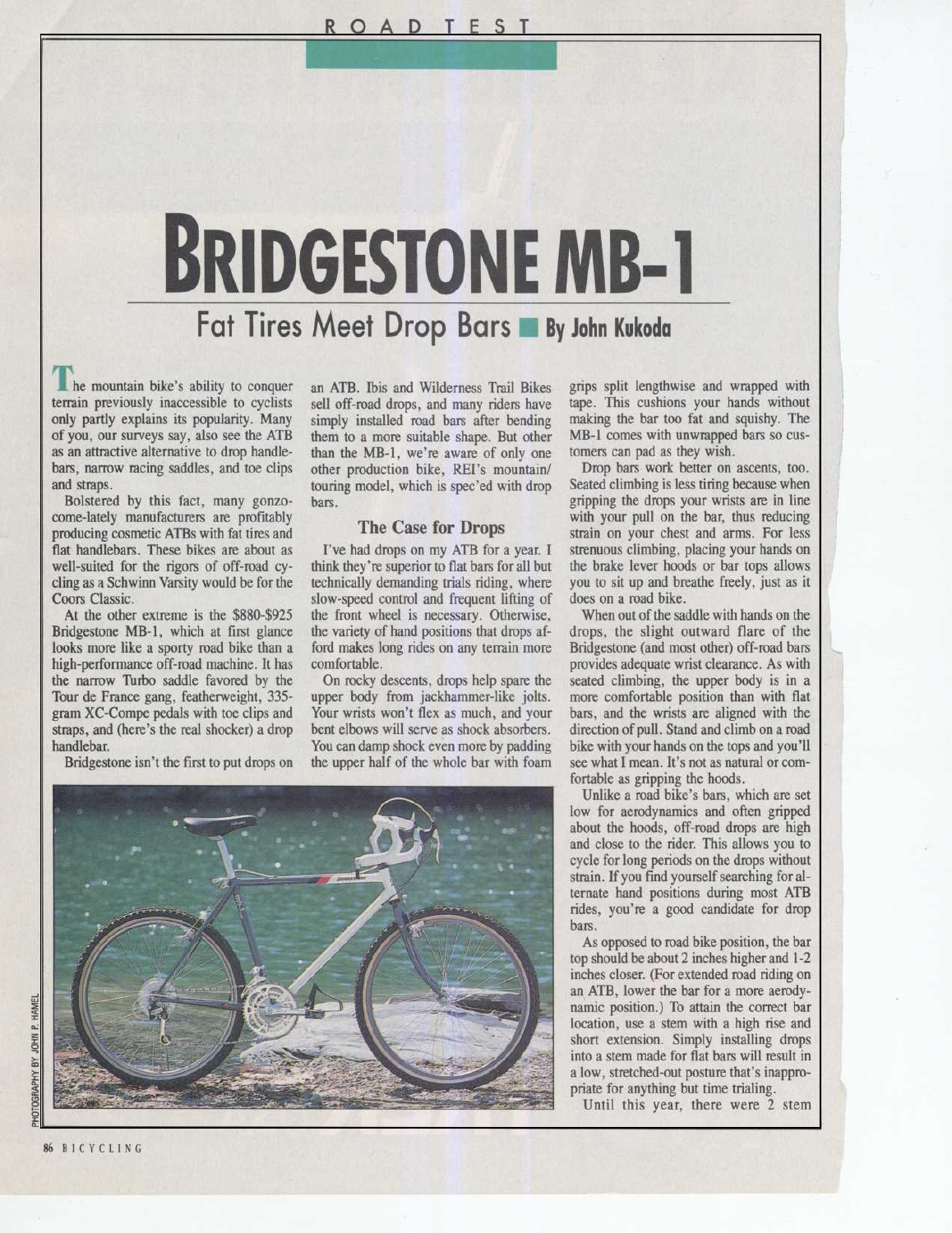# BRIDGESTONE MB-1

## Fat Tires Meet Drop Bars By John Kukoda

**The mountain bike's ability to conquer** terrain previously inaccessible to cyclists only partly explains its popularity. Many of you, our surveys say, also see the ATB as an attractive alternative to drop handlebars, narrow racing saddles, and toe clips and straps.

Bolstered by this fact, many gonzocome-lately manufacturers are profitably producing cosmetic ATBs with fat tires and flat handlebars. These bikes are about as well-suited for the rigors of off-road cycling as a Schwinn Varsity would be for the Coors Classic.

At the other extreme is the \$880-\$925 Bridgestone MB-1, which at first glance looks more like a sporty road bike than a high-performance off-road machine. It has the narrow Turbo saddle favored by the Tour de France gang, featherweight, 335 gram XC-Compe pedals with toe clips and straps, and (here's the real shocker) a drop handlebar.

Bridgestone isn't the first to put drops on

an ATB. This and Wilderness Trail Bikes sell off-road drops, and many riders have simply installed road bars after bending them to a more suitable shape. But other than the MB-1, we're aware of only one other production bike, REI's mountain/ touring model, which is spec'ed with drop bars .

### The Case for Drops

<sup>I</sup>'ve had drops on my ATB for <sup>a</sup> year. <sup>I</sup> think they're superior to flat bars for all but technically demanding trials riding, where slow-speed control and frequent lifting of the front wheel is necessary. Otherwise, the variety of hand positions that drops afford makes long rides on any terrain more comfortable.

On rocky descents, drops help spare the upper body from jackhammer-like jolts. Your wrists won't flex as much, and your bent elbows will serve as shock absorbers. You can damp shock even more by padding the upper half of the whole bar with foam

grips split lengthwise and wrapped with tape. This cushions your hands without making the bar too fat and squishy. The MB-1 comes with unwrapped bars so customers can pad as they wish.

Drop bars work better on ascents, too. Seated climbing is less tiring because when gripping the drops your wrists are in line with your pull on the bar, thus reducing strain on your chest and arms. For less strenuous climbing, placing your hands on the brake lever hoods or bar tops allows you to sit up and breathe freely, just as it does on a road bike.

When out of the saddle with hands on the drops, the slight outward flare of the Bridgestone (and most other) off-road bars provides adequate wrist clearance. As with seated climbing, the upper body is in a more comfortable position than with flat bars, and the wrists are aligned with the direction of pull. Stand and climb on a road bike with your hands on the tops and you'll see what <sup>I</sup> mean. It's not as natural or comfortable as gripping the hoods.

Unlike a road bike's bars, which are set low for aerodynamics and often gripped about the hoods, off-road drops are high and close to the rider. This allows you to cycle for long periods on the drops without strain . If you find yourself searching for alternate hand positions during most ATB rides, you're a good candidate for drop bars .

As opposed to road bike position, the bar top should be about 2 inches higher and 1-2 inches closer. (For extended road riding on an ATB, lower the bar for a more aerodynamic position.) To attain the correct bar location, use a stem with a high rise and short extension. Simply installing drops into a stem made for flat bars will result in <sup>a</sup> low, stretched-out posture that's inappropriate for anything but time trialing.

Until this year, there were 2 stem

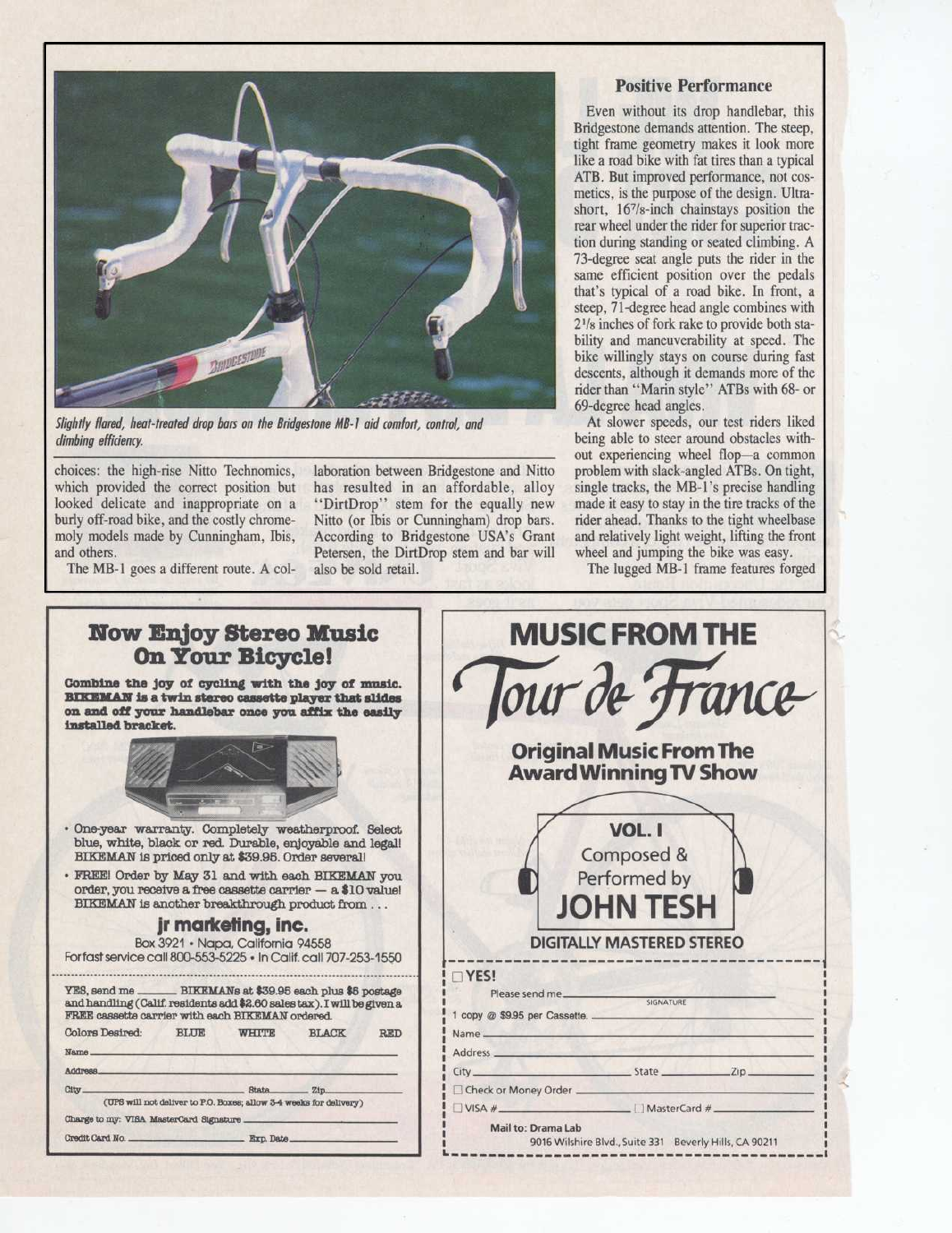

Slightly tlared, heat-treated drop bars on the Bridgestone MB-1 aid comfort, control, and climbing efficiency.

choices: the high-rise Nitto Technomics, which provided the correct position but looked delicate and inappropriate on a burly off-road bike, and the costly chromemoly models made by Cunningham, Ibis, and others.

The MB-1 goes <sup>a</sup> different route. A col-

laboration between Bridgestone and Nitto has resulted in an affordable, alloy "DirtDrop" stem for the equally new Nitto (or Ibis or Cunningham) drop bars . According to Bridgestone USA's Grant Petersen, the DirtDrop stem and bar will also be sold retail.

#### Positive Performance

Even without its drop handlebar, this Bridgestone demands attention. The steep, tight frame geometry makes it look more like a road bike with fat tires than a typical ATB. But improved performance, not cosmetics, is the purpose of the design. Ultrashort, 16'/8-inch chainstays position the rear wheel under the rider for superior traction during standing or seated climbing . A 73-degree seat angle puts the rider in the same efficient position over the pedals that's typical of a road bike. In front, a steep, 71-degree head angle combines with 2'/8 inches of fork rake to provide both stability and maneuverability at speed. The bike willingly stays on course during fast descents, although it demands more of the rider than "Marin style" ATBs with 68- or 69-degree head angles .

At slower speeds, our test riders liked being able to steer around obstacles without experiencing wheel flop-a common problem with slack-angled ATBs. On tight, single tracks, the MB-1's precise handling made it easy to stay in the tire tracks of the rider ahead. Thanks to the tight wheelbase and relatively light weight, lifting the front wheel and jumping the bike was easy.

The lugged MB-1 frame features forged

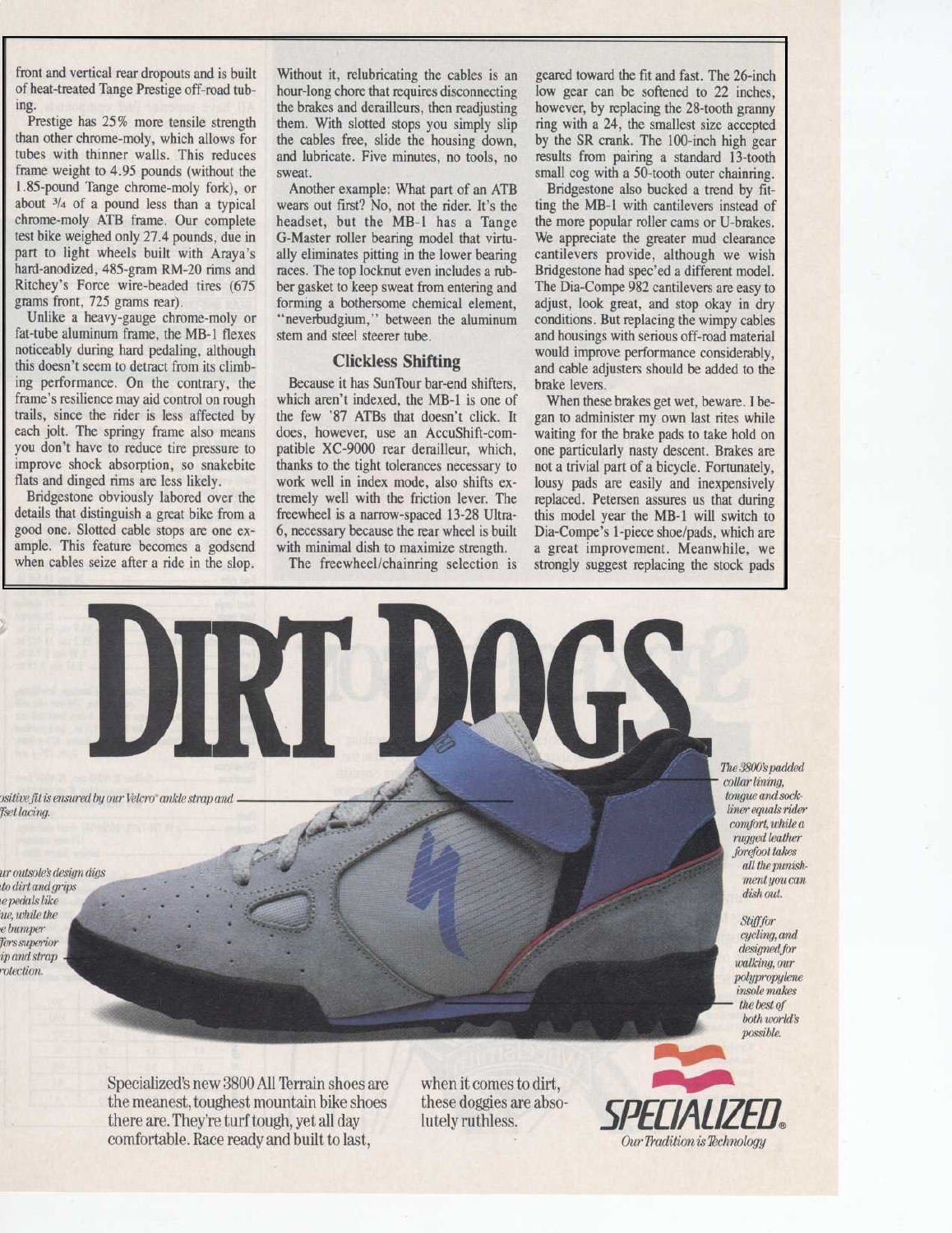front and vertical rear dropouts and is built of heat-treated Tange Prestige off-road tubing.

Prestige has 25% more tensile strength than other chrome-moly, which allows for tubes with thinner walls. This reduces frame weight to 4.95 pounds (without the <sup>1</sup> .85-pound Tange chrome-moly fork), or about 3/4 of a pound less than a typical chrome-moly ATB frame. Our complete test bike weighed only 27 .4 pounds, due in part to light wheels built with Araya's hard-anodized, 485-gram RM-20 rims and Ritchey's Force wire-beaded tires (675 grams front, 725 grams rear).

Unlike a heavy-gauge chrome-moly or fat-tube aluminum frame, the MB-1 flexes noticeably during hard pedaling, although this doesn't seem to detract from its climbing performance. On the contrary, the frame's resilience may aid control on rough trails, since the rider is less affected by each jolt. The springy frame also means you don't have to reduce tire pressure to improve shock absorption, so snakebite flats and dinged rims are less likely.

Bridgestone obviously labored over the details that distinguish a great bike from a good one. Slotted cable stops are one example. This feature becomes <sup>a</sup> godsend when cables seize after a ride in the slop.

Without it, relubricating the cables is an hour-long chore that requires disconnecting the brakes and derailleurs, then readjusting them. With slotted stops you simply slip the cables free, slide the housing down, and lubricate. Five minutes, no tools, no sweat.

Another example: What part of an ATB wears out first? No, not the rider. It's the headset, but the MB-1 has a Tange G-Master roller bearing model that virtually eliminates pitting in the lower bearing races. The top locknut even includes a rubber gasket to keep sweat from entering and forming a bothersome chemical element, "neverbudgium," between the aluminum stem and steel steerer tube .

#### Clickless Shifting

Because it has SunTour bar-end shifters, which aren't indexed, the MB-1 is one of the few '87 ATBs that doesn't click. It does, however, use an AccuShift-compatible XC-9000 rear derailleur, which, thanks to the tight tolerances necessary to work well in index mode, also shifts extremely well with the friction lever. The freewheel is a narrow-spaced 13-28 Ultra-6, necessary because the rear wheel is built with minimal dish to maximize strength.

The freewheel/chainring selection is

geared toward the fit and fast. The 26-inch low gear can be softened to 22 inches, however, by replacing the 28-tooth granny ring with a 24, the smallest size accepted by the SR crank. The 100-inch high gear results from pairing a standard 13-tooth small cog with a 50-tooth outer chainring.

Bridgestone also bucked a trend by fitting the MB-1 with cantilevers instead of the more popular roller cams or U-brakes . We appreciate the greater mud clearance cantilevers provide, although we wish Bridgestone had spec'ed a different model. The Dia-Compe 982 cantilevers are easy to adjust, look great, and stop okay in dry conditions. But replacing the wimpy cables and housings with serious off-road material would improve performance considerably, and cable adjusters should be added to the brake levers .

When these brakes get wet, beware. I began to administer my own last rites while waiting for the brake pads to take hold on one particularly nasty descent. Brakes are not a trivial part of a bicycle. Fortunately, lousy pads are easily and inexpensively replaced. Petersen assures us that during this model year the MB-1 will switch to Dia-Compe's 1-piece shoe/pads, which are a great improvement. Meanwhile, we strongly suggest replacing the stock pads

)sitivefat is ensured by our Velcro" ankle strap and Tsetlacing.

ur outsole's design digs to dirt andgrips epedals like 'ue, while the e bumper Ters superior ip andstrap rotection.

The3800'spadded collar lining, tongue and sockliner equals rider comfort, while a rugged leather forefoot takes all thepunishmentyou can dish out.

> Stiff for cycling, and designed for walking, our polypropylene insole makes the best of both world's

> > possible.

Specialized's new 3800 All Terrain shoes are the meanest, toughest mountain bike shoes there are. They're turf tough, yet all day comfortable. Race ready and built to last,

when it comes to dirt, these doggies are absolutely ruthless.